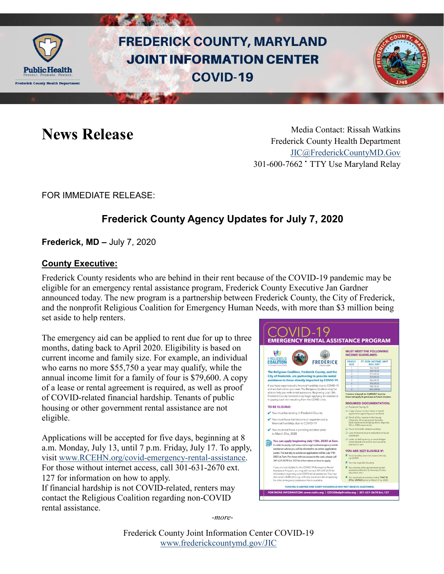

# **FREDERICK COUNTY, MARYLAND JOINT INFORMATION CENTER COVID-19**



News Release Media Contact: Rissah Watkins Frederick County Health Department [JIC@FrederickCountyMD.Gov](mailto:JIC@FrederickCountyMD.Gov) 301-600-7662 • TTY Use Maryland Relay

#### FOR IMMEDIATE RELEASE:

## **Frederick County Agency Updates for July 7, 2020**

**Frederick, MD –** July 7, 2020

#### **County Executive:**

Frederick County residents who are behind in their rent because of the COVID-19 pandemic may be eligible for an emergency rental assistance program, Frederick County Executive Jan Gardner announced today. The new program is a partnership between Frederick County, the City of Frederick, and the nonprofit Religious Coalition for Emergency Human Needs, with more than \$3 million being set aside to help renters.

The emergency aid can be applied to rent due for up to three months, dating back to April 2020. Eligibility is based on current income and family size. For example, an individual who earns no more \$55,750 a year may qualify, while the annual income limit for a family of four is \$79,600. A copy of a lease or rental agreement is required, as well as proof of COVID-related financial hardship. Tenants of public housing or other government rental assistance are not eligible.

**START COMPANY** 

Applications will be accepted for five days, beginning at 8 a.m. Monday, July 13, until 7 p.m. Friday, July 17. To apply, visit [www.RCEHN.org/covid-emergency-rental-assistance.](http://www.rcehn.org/covid-emergency-rental-assistance) For those without internet access, call 301-631-2670 ext. 127 for information on how to apply. If financial hardship is not COVID-related, renters may contact the Religious Coalition regarding non-COVID rental assistance.



*-more-*

Frederick County Joint Information Center COVID-19 [www.frederickcountymd.gov/JIC](https://frederickcountymd.gov/JIC)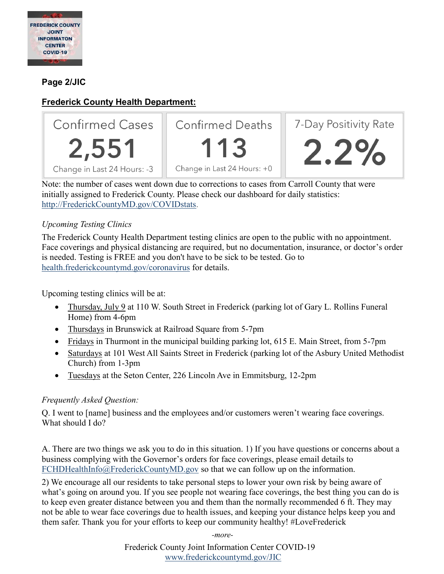

#### **Page 2/JIC**

### **Frederick County Health Department:**



**Confirmed Deaths** 

113 Change in Last 24 Hours: +0



Note: the number of cases went down due to corrections to cases from Carroll County that were initially assigned to Frederick County. Please check our dashboard for daily statistics: [http://FrederickCountyMD.gov/COVIDstats.](http://frederickcountymd.gov/COVIDstats)

#### *Upcoming Testing Clinics*

The Frederick County Health Department testing clinics are open to the public with no appointment. Face coverings and physical distancing are required, but no documentation, insurance, or doctor's order is needed. Testing is FREE and you don't have to be sick to be tested. Go to [health.frederickcountymd.gov/coronavirus](https://health.frederickcountymd.gov/614/Novel-Coronavirus-COVID-19) for details.

Upcoming testing clinics will be at:

- Thursday, July 9 at 110 W. South Street in Frederick (parking lot of Gary L. Rollins Funeral Home) from 4-6pm
- Thursdays in Brunswick at Railroad Square from 5-7pm
- Fridays in Thurmont in the municipal building parking lot, 615 E. Main Street, from 5-7pm
- Saturdays at 101 West All Saints Street in Frederick (parking lot of the Asbury United Methodist Church) from 1-3pm
- Tuesdays at the Seton Center, 226 Lincoln Ave in Emmitsburg, 12-2pm

#### *Frequently Asked Question:*

Q. I went to [name] business and the employees and/or customers weren't wearing face coverings. What should I do?

A. There are two things we ask you to do in this situation. 1) If you have questions or concerns about a business complying with the Governor's orders for face coverings, please email details to [FCHDHealthInfo@FrederickCountyMD.gov](mailto:FCHDHealthInfo@FrederickCountyMD.gov) so that we can follow up on the information.

2) We encourage all our residents to take personal steps to lower your own risk by being aware of what's going on around you. If you see people not wearing face coverings, the best thing you can do is to keep even greater distance between you and them than the normally recommended 6 ft. They may not be able to wear face coverings due to health issues, and keeping your distance helps keep you and them safer. Thank you for your efforts to keep our community healthy! #LoveFrederick

*-more-*

Frederick County Joint Information Center COVID-19 [www.frederickcountymd.gov/JIC](https://frederickcountymd.gov/JIC)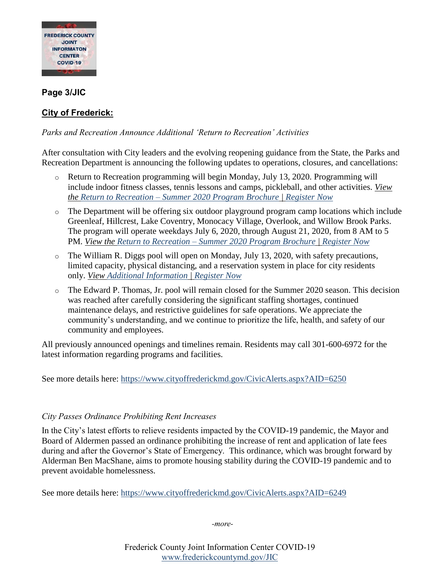

#### **Page 3/JIC**

#### **City of Frederick:**

#### *Parks and Recreation Announce Additional 'Return to Recreation' Activities*

After consultation with City leaders and the evolving reopening guidance from the State, the Parks and Recreation Department is announcing the following updates to operations, closures, and cancellations:

- o Return to Recreation programming will begin Monday, July 13, 2020. Programming will include indoor fitness classes, tennis lessons and camps, pickleball, and other activities. *View the Return to Recreation – [Summer 2020 Program Brochure](https://gcc02.safelinks.protection.outlook.com/?url=https%3A%2F%2Fwww.cityoffrederickmd.gov%2FDocumentCenter%2FView%2F18118%2FSummer-_Brochure_2020&data=02%7C01%7Cawaters%40cityoffrederickmd.gov%7C9da48a27541247190eb508d822907e8a%7Cc379f8550dee4b099f890cee3aa7f761%7C0%7C0%7C637297351277644645&sdata=vf1sfyId8AHSCWHNcU2BSOesWaNTzUdn0Lqz%2Bukd%2F%2FQ%3D&reserved=0) | [Register Now](https://gcc02.safelinks.protection.outlook.com/?url=https%3A%2F%2Fweb1.vermontsystems.com%2Fwbwsc%2Fmdfrederickwt.wsc%2Fsplash.html&data=02%7C01%7Cawaters%40cityoffrederickmd.gov%7C9da48a27541247190eb508d822907e8a%7Cc379f8550dee4b099f890cee3aa7f761%7C0%7C0%7C637297351277649637&sdata=VWQgPNUuER3oybGAiy4Hwg6VpawEgU%2F28slJFBxZdaY%3D&reserved=0)*
- o The Department will be offering six outdoor playground program camp locations which include Greenleaf, Hillcrest, Lake Coventry, Monocacy Village, Overlook, and Willow Brook Parks. The program will operate weekdays July 6, 2020, through August 21, 2020, from 8 AM to 5 PM. *View the Return to Recreation – [Summer 2020 Program Brochure](https://gcc02.safelinks.protection.outlook.com/?url=https%3A%2F%2Fwww.cityoffrederickmd.gov%2FDocumentCenter%2FView%2F18118%2FSummer-_Brochure_2020&data=02%7C01%7Cawaters%40cityoffrederickmd.gov%7C9da48a27541247190eb508d822907e8a%7Cc379f8550dee4b099f890cee3aa7f761%7C0%7C0%7C637297351277654629&sdata=AFOAmOvoq2pf10Bi9GcYUwFOrhK42ECc1fWCfLc%2BYyo%3D&reserved=0) | [Register Now](https://gcc02.safelinks.protection.outlook.com/?url=https%3A%2F%2Fweb1.vermontsystems.com%2Fwbwsc%2Fmdfrederickwt.wsc%2Fsplash.html&data=02%7C01%7Cawaters%40cityoffrederickmd.gov%7C9da48a27541247190eb508d822907e8a%7Cc379f8550dee4b099f890cee3aa7f761%7C0%7C0%7C637297351277654629&sdata=06cmQogJQQcnkQU81cH1tinD%2FB4AiRWPHYDIpxTnTRA%3D&reserved=0)*
- $\circ$  The William R. Diggs pool will open on Monday, July 13, 2020, with safety precautions, limited capacity, physical distancing, and a reservation system in place for city residents only. *View [Additional Information](https://gcc02.safelinks.protection.outlook.com/?url=https%3A%2F%2Fwww.cityoffrederickmd.gov%2F1465%2FCovid-19-Diggs-Pool-Swim-Block-Registrat&data=02%7C01%7Cawaters%40cityoffrederickmd.gov%7C9da48a27541247190eb508d822907e8a%7Cc379f8550dee4b099f890cee3aa7f761%7C0%7C0%7C637297351277634662&sdata=NyWQoSBDx5dXeXuds1js5s%2B9i6%2B%2B6ojr7XTrTA6dRKw%3D&reserved=0) | [Register Now](https://gcc02.safelinks.protection.outlook.com/?url=https%3A%2F%2Fweb1.vermontsystems.com%2Fwbwsc%2Fmdfrederickwt.wsc%2Fsplash.html&data=02%7C01%7Cawaters%40cityoffrederickmd.gov%7C9da48a27541247190eb508d822907e8a%7Cc379f8550dee4b099f890cee3aa7f761%7C0%7C0%7C637297351277639654&sdata=ppAlag6jUVvcEw7m9UrlVwnhsqvPQQo7Cl74bgEeZKc%3D&reserved=0)*
- o The Edward P. Thomas, Jr. pool will remain closed for the Summer 2020 season. This decision was reached after carefully considering the significant staffing shortages, continued maintenance delays, and restrictive guidelines for safe operations. We appreciate the community's understanding, and we continue to prioritize the life, health, and safety of our community and employees.

All previously announced openings and timelines remain. Residents may call 301-600-6972 for the latest information regarding programs and facilities.

See more details here: <https://www.cityoffrederickmd.gov/CivicAlerts.aspx?AID=6250>

#### *City Passes Ordinance Prohibiting Rent Increases*

In the City's latest efforts to relieve residents impacted by the COVID-19 pandemic, the Mayor and Board of Aldermen passed an ordinance prohibiting the increase of rent and application of late fees during and after the Governor's State of Emergency. This ordinance, which was brought forward by Alderman Ben MacShane, aims to promote housing stability during the COVID-19 pandemic and to prevent avoidable homelessness.

See more details here:<https://www.cityoffrederickmd.gov/CivicAlerts.aspx?AID=6249>

*-more-*